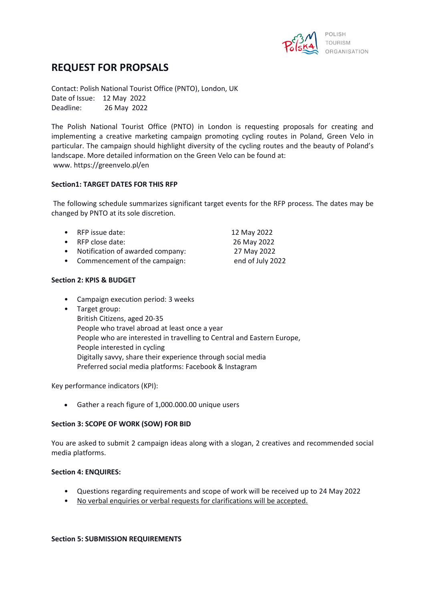

# **REQUEST FOR PROPSALS**

Contact: Polish National Tourist Office (PNTO), London, UK Date of Issue: 12 May 2022 Deadline: 26 May 2022

The Polish National Tourist Office (PNTO) in London is requesting proposals for creating and implementing a creative marketing campaign promoting cycling routes in Poland, Green Velo in particular. The campaign should highlight diversity of the cycling routes and the beauty of Poland's landscape. More detailed information on the Green Velo can be found at: www. https://greenvelo.pl/en

## **Section1: TARGET DATES FOR THIS RFP**

The following schedule summarizes significant target events for the RFP process. The dates may be changed by PNTO at its sole discretion.

| • RFP issue date:                  | 12 May 2022      |
|------------------------------------|------------------|
| • RFP close date:                  | 26 May 2022      |
| • Notification of awarded company: | 27 May 2022      |
| • Commencement of the campaign:    | end of July 2022 |

## **Section 2: KPIS & BUDGET**

- Campaign execution period: 3 weeks
- Target group:

British Citizens, aged 20-35 People who travel abroad at least once a year People who are interested in travelling to Central and Eastern Europe, People interested in cycling Digitally savvy, share their experience through social media Preferred social media platforms: Facebook & Instagram

Key performance indicators (KPI):

• Gather a reach figure of 1,000.000.00 unique users

#### **Section 3: SCOPE OF WORK (SOW) FOR BID**

You are asked to submit 2 campaign ideas along with a slogan, 2 creatives and recommended social media platforms.

#### **Section 4: ENQUIRES:**

- Questions regarding requirements and scope of work will be received up to 24 May 2022
- No verbal enquiries or verbal requests for clarifications will be accepted.

#### **Section 5: SUBMISSION REQUIREMENTS**